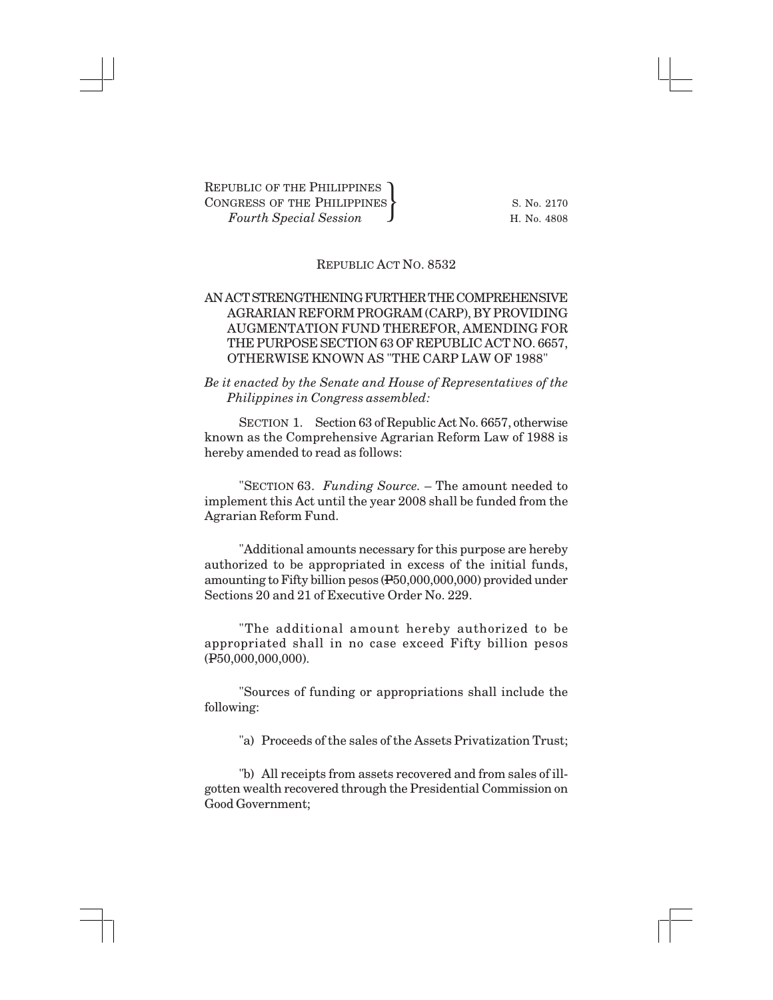## REPUBLIC ACT NO. 8532

## AN ACT STRENGTHENING FURTHER THE COMPREHENSIVE AGRARIAN REFORM PROGRAM (CARP), BY PROVIDING AUGMENTATION FUND THEREFOR, AMENDING FOR THE PURPOSE SECTION 63 OF REPUBLIC ACT NO. 6657, OTHERWISE KNOWN AS "THE CARP LAW OF 1988"

## *Be it enacted by the Senate and House of Representatives of the Philippines in Congress assembled:*

SECTION 1. Section 63 of Republic Act No. 6657, otherwise known as the Comprehensive Agrarian Reform Law of 1988 is hereby amended to read as follows:

"SECTION 63. *Funding Source.* – The amount needed to implement this Act until the year 2008 shall be funded from the Agrarian Reform Fund.

"Additional amounts necessary for this purpose are hereby authorized to be appropriated in excess of the initial funds, amounting to Fifty billion pesos (P50,000,000,000) provided under Sections 20 and 21 of Executive Order No. 229.

"The additional amount hereby authorized to be appropriated shall in no case exceed Fifty billion pesos (P50,000,000,000).

"Sources of funding or appropriations shall include the following:

"a) Proceeds of the sales of the Assets Privatization Trust;

"b) All receipts from assets recovered and from sales of illgotten wealth recovered through the Presidential Commission on Good Government;